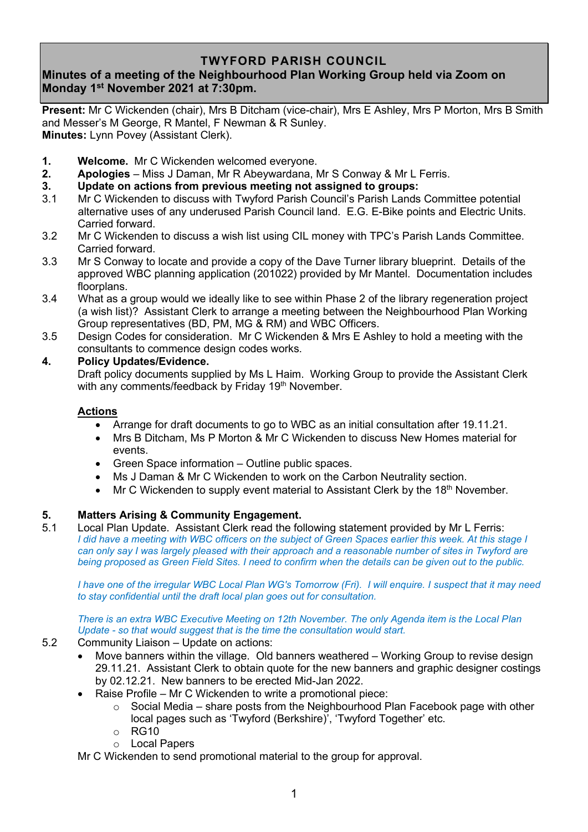## **TWYFORD PARISH COUNCIL**

# **Minutes of a meeting of the Neighbourhood Plan Working Group held via Zoom on Monday 1 st November 2021 at 7:30pm.**

**Present:** Mr C Wickenden (chair), Mrs B Ditcham (vice-chair), Mrs E Ashley, Mrs P Morton, Mrs B Smith and Messer's M George, R Mantel, F Newman & R Sunley. **Minutes:** Lynn Povey (Assistant Clerk).

- **1. Welcome.** Mr C Wickenden welcomed everyone.
- **2. Apologies** Miss J Daman, Mr R Abeywardana, Mr S Conway & Mr L Ferris.
- **3. Update on actions from previous meeting not assigned to groups:**
- 3.1 Mr C Wickenden to discuss with Twyford Parish Council's Parish Lands Committee potential alternative uses of any underused Parish Council land. E.G. E-Bike points and Electric Units. Carried forward.
- 3.2 Mr C Wickenden to discuss a wish list using CIL money with TPC's Parish Lands Committee. Carried forward.
- 3.3 Mr S Conway to locate and provide a copy of the Dave Turner library blueprint. Details of the approved WBC planning application (201022) provided by Mr Mantel. Documentation includes floorplans.
- 3.4 What as a group would we ideally like to see within Phase 2 of the library regeneration project (a wish list)? Assistant Clerk to arrange a meeting between the Neighbourhood Plan Working Group representatives (BD, PM, MG & RM) and WBC Officers.
- 3.5 Design Codes for consideration. Mr C Wickenden & Mrs E Ashley to hold a meeting with the consultants to commence design codes works.

### **4. Policy Updates/Evidence.**

Draft policy documents supplied by Ms L Haim. Working Group to provide the Assistant Clerk with any comments/feedback by Friday 19<sup>th</sup> November.

### **Actions**

- Arrange for draft documents to go to WBC as an initial consultation after 19.11.21.
- Mrs B Ditcham, Ms P Morton & Mr C Wickenden to discuss New Homes material for events.
- Green Space information Outline public spaces.
- Ms J Daman & Mr C Wickenden to work on the Carbon Neutrality section.
- Mr C Wickenden to supply event material to Assistant Clerk by the  $18<sup>th</sup>$  November.

### **5. Matters Arising & Community Engagement.**

5.1 Local Plan Update. Assistant Clerk read the following statement provided by Mr L Ferris: *I did have a meeting with WBC officers on the subject of Green Spaces earlier this week. At this stage I can only say I was largely pleased with their approach and a reasonable number of sites in Twyford are being proposed as Green Field Sites. I need to confirm when the details can be given out to the public.*

*I have one of the irregular WBC Local Plan WG's Tomorrow (Fri). I will enquire. I suspect that it may need to stay confidential until the draft local plan goes out for consultation.*

*There is an extra WBC Executive Meeting on 12th November. The only Agenda item is the Local Plan Update - so that would suggest that is the time the consultation would start.*

- 5.2 Community Liaison Update on actions:
	- Move banners within the village. Old banners weathered Working Group to revise design 29.11.21. Assistant Clerk to obtain quote for the new banners and graphic designer costings by 02.12.21. New banners to be erected Mid-Jan 2022.
	- Raise Profile Mr C Wickenden to write a promotional piece:
		- $\circ$  Social Media share posts from the Neighbourhood Plan Facebook page with other local pages such as 'Twyford (Berkshire)', 'Twyford Together' etc.
		- $\circ$  RG10
		- o Local Papers

Mr C Wickenden to send promotional material to the group for approval.